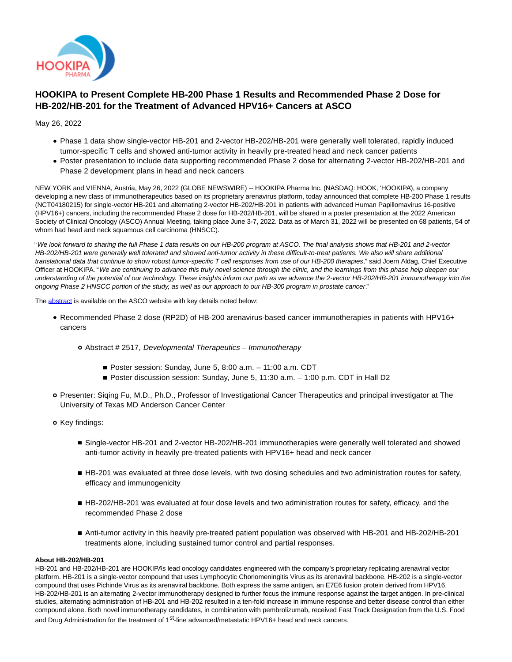

# **HOOKIPA to Present Complete HB-200 Phase 1 Results and Recommended Phase 2 Dose for HB-202/HB-201 for the Treatment of Advanced HPV16+ Cancers at ASCO**

May 26, 2022

- Phase 1 data show single-vector HB-201 and 2-vector HB-202/HB-201 were generally well tolerated, rapidly induced tumor-specific T cells and showed anti-tumor activity in heavily pre-treated head and neck cancer patients
- Poster presentation to include data supporting recommended Phase 2 dose for alternating 2-vector HB-202/HB-201 and Phase 2 development plans in head and neck cancers

NEW YORK and VIENNA, Austria, May 26, 2022 (GLOBE NEWSWIRE) -- HOOKIPA Pharma Inc. (NASDAQ: HOOK, 'HOOKIPA'), a company developing a new class of immunotherapeutics based on its proprietary arenavirus platform, today announced that complete HB-200 Phase 1 results (NCT04180215) for single-vector HB-201 and alternating 2-vector HB-202/HB-201 in patients with advanced Human Papillomavirus 16-positive (HPV16+) cancers, including the recommended Phase 2 dose for HB-202/HB-201, will be shared in a poster presentation at the 2022 American Society of Clinical Oncology (ASCO) Annual Meeting, taking place June 3-7, 2022. Data as of March 31, 2022 will be presented on 68 patients, 54 of whom had head and neck squamous cell carcinoma (HNSCC).

"We look forward to sharing the full Phase 1 data results on our HB-200 program at ASCO. The final analysis shows that HB-201 and 2-vector HB-202/HB-201 were generally well tolerated and showed anti-tumor activity in these difficult-to-treat patients. We also will share additional translational data that continue to show robust tumor-specific T cell responses from use of our HB-200 therapies," said Joern Aldag, Chief Executive Officer at HOOKIPA. "We are continuing to advance this truly novel science through the clinic, and the learnings from this phase help deepen our understanding of the potential of our technology. These insights inform our path as we advance the 2-vector HB-202/HB-201 immunotherapy into the ongoing Phase 2 HNSCC portion of the study, as well as our approach to our HB-300 program in prostate cancer."

The [abstract i](https://www.globenewswire.com/Tracker?data=QJv7NDeSq7o_QtPWgZG5S6DQC1XsjHrXsclOhWnAWJqZ9q2R3APgMdo8S3VmINsEMTWBQftxbhereND8mo7YmQmekJMb7adE2grT5LOZImPLqGCVl13EhZHwmVw3KuQz)s available on the ASCO website with key details noted below:

- Recommended Phase 2 dose (RP2D) of HB-200 arenavirus-based cancer immunotherapies in patients with HPV16+ cancers
	- Abstract # 2517, Developmental Therapeutics Immunotherapy
		- Poster session: Sunday, June 5, 8:00 a.m. 11:00 a.m. CDT
		- Poster discussion session: Sunday, June 5, 11:30 a.m. 1:00 p.m. CDT in Hall D2
- Presenter: Siqing Fu, M.D., Ph.D., Professor of Investigational Cancer Therapeutics and principal investigator at The University of Texas MD Anderson Cancer Center
- o Key findings:
	- Single-vector HB-201 and 2-vector HB-202/HB-201 immunotherapies were generally well tolerated and showed anti-tumor activity in heavily pre-treated patients with HPV16+ head and neck cancer
	- HB-201 was evaluated at three dose levels, with two dosing schedules and two administration routes for safety, efficacy and immunogenicity
	- HB-202/HB-201 was evaluated at four dose levels and two administration routes for safety, efficacy, and the recommended Phase 2 dose
	- Anti-tumor activity in this heavily pre-treated patient population was observed with HB-201 and HB-202/HB-201 treatments alone, including sustained tumor control and partial responses.

## **About HB-202/HB-201**

HB-201 and HB-202/HB-201 are HOOKIPA's lead oncology candidates engineered with the company's proprietary replicating arenaviral vector platform. HB-201 is a single-vector compound that uses Lymphocytic Choriomeningitis Virus as its arenaviral backbone. HB-202 is a single-vector compound that uses Pichinde Virus as its arenaviral backbone. Both express the same antigen, an E7E6 fusion protein derived from HPV16. HB-202/HB-201 is an alternating 2-vector immunotherapy designed to further focus the immune response against the target antigen. In pre-clinical studies, alternating administration of HB-201 and HB-202 resulted in a ten-fold increase in immune response and better disease control than either compound alone. Both novel immunotherapy candidates, in combination with pembrolizumab, received Fast Track Designation from the U.S. Food and Drug Administration for the treatment of 1<sup>st</sup>-line advanced/metastatic HPV16+ head and neck cancers.